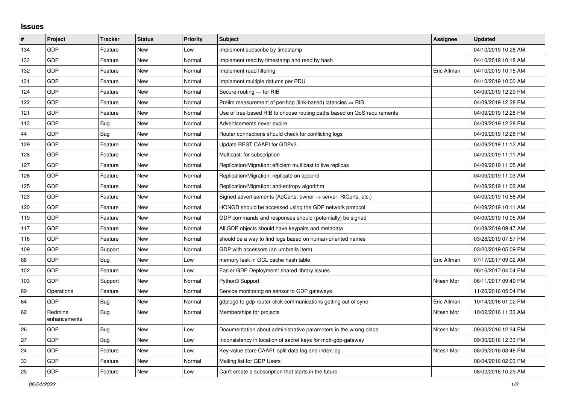## **Issues**

| #   | Project                 | <b>Tracker</b> | <b>Status</b> | Priority | <b>Subject</b>                                                          | Assignee    | <b>Updated</b>      |
|-----|-------------------------|----------------|---------------|----------|-------------------------------------------------------------------------|-------------|---------------------|
| 134 | GDP                     | Feature        | <b>New</b>    | Low      | Implement subscribe by timestamp                                        |             | 04/10/2019 10:26 AM |
| 133 | GDP                     | Feature        | <b>New</b>    | Normal   | Implement read by timestamp and read by hash                            |             | 04/10/2019 10:18 AM |
| 132 | GDP                     | Feature        | <b>New</b>    | Normal   | Implement read filtering                                                | Eric Allman | 04/10/2019 10:15 AM |
| 131 | GDP                     | Feature        | <b>New</b>    | Normal   | Implement multiple datums per PDU                                       |             | 04/10/2019 10:00 AM |
| 124 | GDP                     | Feature        | <b>New</b>    | Normal   | Secure-routing - for RIB                                                |             | 04/09/2019 12:29 PM |
| 122 | GDP                     | Feature        | <b>New</b>    | Normal   | Prelim measurement of per-hop (link-based) latencies $\Rightarrow$ RIB  |             | 04/09/2019 12:28 PM |
| 121 | GDP                     | Feature        | New           | Normal   | Use of tree-based RIB to choose routing paths based on QoS requirements |             | 04/09/2019 12:28 PM |
| 113 | GDP                     | Bug            | <b>New</b>    | Normal   | Advertisements never expire                                             |             | 04/09/2019 12:28 PM |
| 44  | GDP                     | <b>Bug</b>     | <b>New</b>    | Normal   | Router connections should check for conflicting logs                    |             | 04/09/2019 12:28 PM |
| 129 | GDP                     | Feature        | <b>New</b>    | Normal   | Update REST CAAPI for GDPv2                                             |             | 04/09/2019 11:12 AM |
| 128 | GDP                     | Feature        | <b>New</b>    | Normal   | Multicast: for subscription                                             |             | 04/09/2019 11:11 AM |
| 127 | GDP                     | Feature        | <b>New</b>    | Normal   | Replication/Migration: efficient multicast to live replicas             |             | 04/09/2019 11:05 AM |
| 126 | GDP                     | Feature        | <b>New</b>    | Normal   | Replication/Migration: replicate on append                              |             | 04/09/2019 11:03 AM |
| 125 | GDP                     | Feature        | <b>New</b>    | Normal   | Replication/Migration: anti-entropy algorithm                           |             | 04/09/2019 11:02 AM |
| 123 | GDP                     | Feature        | <b>New</b>    | Normal   | Signed advertisements (AdCerts: owner → server, RtCerts, etc.)          |             | 04/09/2019 10:58 AM |
| 120 | GDP                     | Feature        | <b>New</b>    | Normal   | HONGD should be accessed using the GDP network protocol                 |             | 04/09/2019 10:11 AM |
| 119 | GDP                     | Feature        | <b>New</b>    | Normal   | GDP commands and responses should (potentially) be signed               |             | 04/09/2019 10:05 AM |
| 117 | GDP                     | Feature        | <b>New</b>    | Normal   | All GDP objects should have keypairs and metadata                       |             | 04/09/2019 09:47 AM |
| 116 | GDP                     | Feature        | <b>New</b>    | Normal   | should be a way to find logs based on human-oriented names              |             | 03/28/2019 07:57 PM |
| 109 | GDP                     | Support        | <b>New</b>    | Normal   | GDP with accessors (an umbrella item)                                   |             | 03/20/2019 05:09 PM |
| 88  | GDP                     | Bug            | <b>New</b>    | Low      | memory leak in GCL cache hash table                                     | Eric Allman | 07/17/2017 09:02 AM |
| 102 | GDP                     | Feature        | New           | Low      | Easier GDP Deployment: shared library issues                            |             | 06/16/2017 04:04 PM |
| 103 | GDP                     | Support        | <b>New</b>    | Normal   | Python3 Support                                                         | Nitesh Mor  | 06/11/2017 09:49 PM |
| 89  | Operations              | Feature        | <b>New</b>    | Normal   | Service monitoring on sensor to GDP gateways                            |             | 11/20/2016 05:04 PM |
| 64  | GDP                     | <b>Bug</b>     | New           | Normal   | gdplogd to gdp-router-click communications getting out of sync          | Eric Allman | 10/14/2016 01:02 PM |
| 62  | Redmine<br>enhancements | Bug            | <b>New</b>    | Normal   | Memberships for projects                                                | Nitesh Mor  | 10/02/2016 11:33 AM |
| 26  | GDP                     | Bug            | <b>New</b>    | Low      | Documentation about administrative parameters in the wrong place        | Nitesh Mor  | 09/30/2016 12:34 PM |
| 27  | GDP                     | <b>Bug</b>     | <b>New</b>    | Low      | Inconsistency in location of secret keys for mqtt-gdp-gateway           |             | 09/30/2016 12:33 PM |
| 24  | GDP                     | Feature        | <b>New</b>    | Low      | Key-value store CAAPI: split data log and index log                     | Nitesh Mor  | 08/09/2016 03:48 PM |
| 33  | GDP                     | Feature        | <b>New</b>    | Normal   | Mailing list for GDP Users                                              |             | 08/04/2016 02:03 PM |
| 25  | GDP                     | Feature        | <b>New</b>    | Low      | Can't create a subscription that starts in the future                   |             | 08/02/2016 10:29 AM |